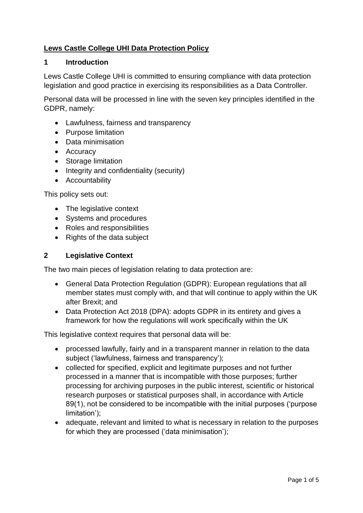# **Lews Castle College UHI Data Protection Policy**

### **1 Introduction**

Lews Castle College UHI is committed to ensuring compliance with data protection legislation and good practice in exercising its responsibilities as a Data Controller.

Personal data will be processed in line with the seven key principles identified in the GDPR, namely:

- Lawfulness, fairness and transparency
- Purpose limitation
- Data minimisation
- Accuracy
- Storage limitation
- Integrity and confidentiality (security)
- Accountability

This policy sets out:

- The legislative context
- Systems and procedures
- Roles and responsibilities
- Rights of the data subject

#### **2 Legislative Context**

The two main pieces of legislation relating to data protection are:

- General Data Protection Regulation (GDPR): European regulations that all member states must comply with, and that will continue to apply within the UK after Brexit; and
- Data Protection Act 2018 (DPA): adopts GDPR in its entirety and gives a framework for how the regulations will work specifically within the UK

This legislative context requires that personal data will be:

- processed lawfully, fairly and in a transparent manner in relation to the data subject ('lawfulness, fairness and transparency');
- collected for specified, explicit and legitimate purposes and not further processed in a manner that is incompatible with those purposes; further processing for archiving purposes in the public interest, scientific or historical research purposes or statistical purposes shall, in accordance with Article 89(1), not be considered to be incompatible with the initial purposes ('purpose limitation');
- adequate, relevant and limited to what is necessary in relation to the purposes for which they are processed ('data minimisation');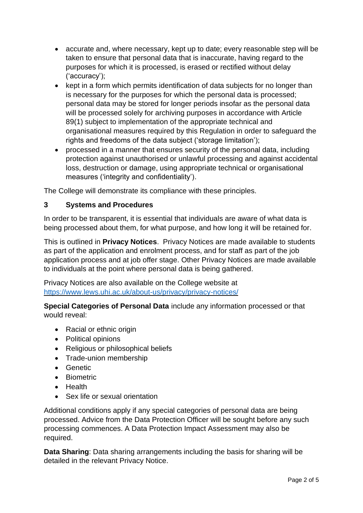- accurate and, where necessary, kept up to date; every reasonable step will be taken to ensure that personal data that is inaccurate, having regard to the purposes for which it is processed, is erased or rectified without delay ('accuracy');
- kept in a form which permits identification of data subjects for no longer than is necessary for the purposes for which the personal data is processed; personal data may be stored for longer periods insofar as the personal data will be processed solely for archiving purposes in accordance with Article 89(1) subject to implementation of the appropriate technical and organisational measures required by this Regulation in order to safeguard the rights and freedoms of the data subject ('storage limitation');
- processed in a manner that ensures security of the personal data, including protection against unauthorised or unlawful processing and against accidental loss, destruction or damage, using appropriate technical or organisational measures ('integrity and confidentiality').

The College will demonstrate its compliance with these principles.

### **3 Systems and Procedures**

In order to be transparent, it is essential that individuals are aware of what data is being processed about them, for what purpose, and how long it will be retained for.

This is outlined in **Privacy Notices**. Privacy Notices are made available to students as part of the application and enrolment process, and for staff as part of the job application process and at job offer stage. Other Privacy Notices are made available to individuals at the point where personal data is being gathered.

Privacy Notices are also available on the College website at <https://www.lews.uhi.ac.uk/about-us/privacy/privacy-notices/>

**Special Categories of Personal Data** include any information processed or that would reveal:

- Racial or ethnic origin
- Political opinions
- Religious or philosophical beliefs
- Trade-union membership
- Genetic
- Biometric
- Health
- Sex life or sexual orientation

Additional conditions apply if any special categories of personal data are being processed. Advice from the Data Protection Officer will be sought before any such processing commences. A Data Protection Impact Assessment may also be required.

**Data Sharing**: Data sharing arrangements including the basis for sharing will be detailed in the relevant Privacy Notice.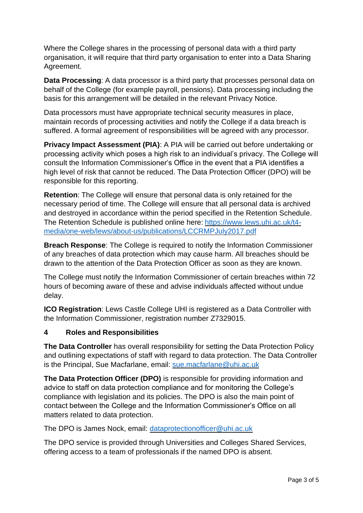Where the College shares in the processing of personal data with a third party organisation, it will require that third party organisation to enter into a Data Sharing Agreement.

**Data Processing**: A data processor is a third party that processes personal data on behalf of the College (for example payroll, pensions). Data processing including the basis for this arrangement will be detailed in the relevant Privacy Notice.

Data processors must have appropriate technical security measures in place, maintain records of processing activities and notify the College if a data breach is suffered. A formal agreement of responsibilities will be agreed with any processor.

**Privacy Impact Assessment (PIA)**: A PIA will be carried out before undertaking or processing activity which poses a high risk to an individual's privacy. The College will consult the Information Commissioner's Office in the event that a PIA identifies a high level of risk that cannot be reduced. The Data Protection Officer (DPO) will be responsible for this reporting.

**Retention**: The College will ensure that personal data is only retained for the necessary period of time. The College will ensure that all personal data is archived and destroyed in accordance within the period specified in the Retention Schedule. The Retention Schedule is published online here: [https://www.lews.uhi.ac.uk/t4](https://www.lews.uhi.ac.uk/t4-media/one-web/lews/about-us/publications/LCCRMPJuly2017.pdf) [media/one-web/lews/about-us/publications/LCCRMPJuly2017.pdf](https://www.lews.uhi.ac.uk/t4-media/one-web/lews/about-us/publications/LCCRMPJuly2017.pdf)

**Breach Response**: The College is required to notify the Information Commissioner of any breaches of data protection which may cause harm. All breaches should be drawn to the attention of the Data Protection Officer as soon as they are known.

The College must notify the Information Commissioner of certain breaches within 72 hours of becoming aware of these and advise individuals affected without undue delay.

**ICO Registration**: Lews Castle College UHI is registered as a Data Controller with the Information Commissioner, registration number Z7329015.

# **4 Roles and Responsibilities**

**The Data Controller** has overall responsibility for setting the Data Protection Policy and outlining expectations of staff with regard to data protection. The Data Controller is the Principal, Sue Macfarlane, email: [sue.macfarlane@uhi.ac.uk](mailto:sue.macfarlane@uhi.ac.uk)

**The Data Protection Officer (DPO)** is responsible for providing information and advice to staff on data protection compliance and for monitoring the College's compliance with legislation and its policies. The DPO is also the main point of contact between the College and the Information Commissioner's Office on all matters related to data protection.

The DPO is James Nock, email: [dataprotectionofficer@uhi.ac.uk](mailto:dataprotectionofficer@uhi.ac.uk)

The DPO service is provided through Universities and Colleges Shared Services, offering access to a team of professionals if the named DPO is absent.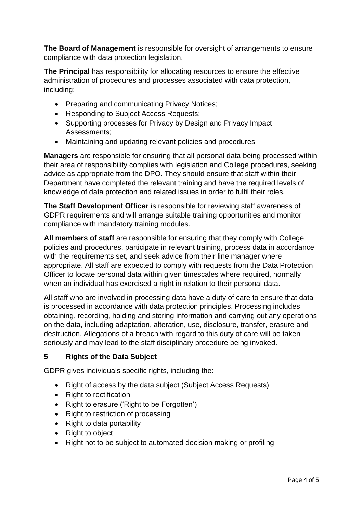**The Board of Management** is responsible for oversight of arrangements to ensure compliance with data protection legislation.

**The Principal** has responsibility for allocating resources to ensure the effective administration of procedures and processes associated with data protection, including:

- Preparing and communicating Privacy Notices;
- Responding to Subject Access Requests;
- Supporting processes for Privacy by Design and Privacy Impact Assessments;
- Maintaining and updating relevant policies and procedures

**Managers** are responsible for ensuring that all personal data being processed within their area of responsibility complies with legislation and College procedures, seeking advice as appropriate from the DPO. They should ensure that staff within their Department have completed the relevant training and have the required levels of knowledge of data protection and related issues in order to fulfil their roles.

**The Staff Development Officer** is responsible for reviewing staff awareness of GDPR requirements and will arrange suitable training opportunities and monitor compliance with mandatory training modules.

**All members of staff** are responsible for ensuring that they comply with College policies and procedures, participate in relevant training, process data in accordance with the requirements set, and seek advice from their line manager where appropriate. All staff are expected to comply with requests from the Data Protection Officer to locate personal data within given timescales where required, normally when an individual has exercised a right in relation to their personal data.

All staff who are involved in processing data have a duty of care to ensure that data is processed in accordance with data protection principles. Processing includes obtaining, recording, holding and storing information and carrying out any operations on the data, including adaptation, alteration, use, disclosure, transfer, erasure and destruction. Allegations of a breach with regard to this duty of care will be taken seriously and may lead to the staff disciplinary procedure being invoked.

# **5 Rights of the Data Subject**

GDPR gives individuals specific rights, including the:

- Right of access by the data subject (Subject Access Requests)
- Right to rectification
- Right to erasure ('Right to be Forgotten')
- Right to restriction of processing
- Right to data portability
- Right to object
- Right not to be subject to automated decision making or profiling